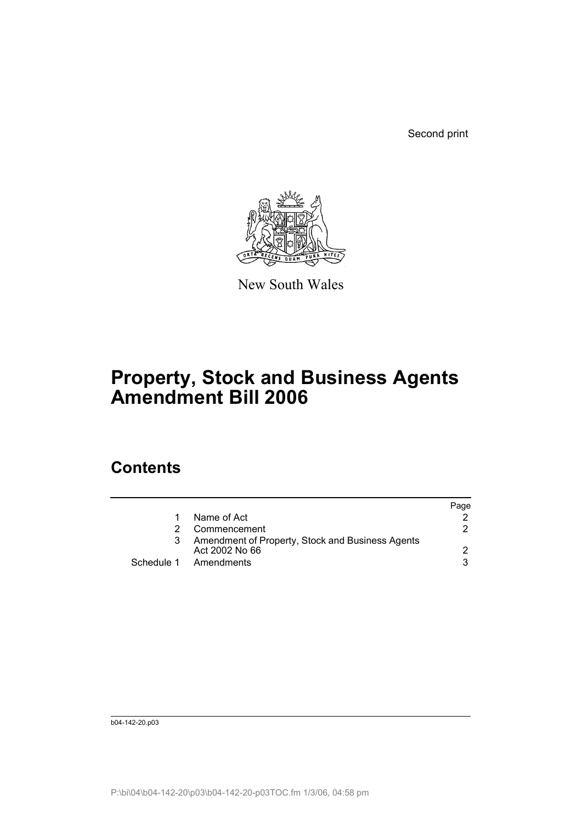Second print



New South Wales

# **Property, Stock and Business Agents Amendment Bill 2006**

## **Contents**

|                                                                    | Page |
|--------------------------------------------------------------------|------|
| Name of Act                                                        |      |
| Commencement                                                       | 2.   |
| Amendment of Property, Stock and Business Agents<br>Act 2002 No 66 |      |
| Schedule 1 Amendments                                              | 3    |

b04-142-20.p03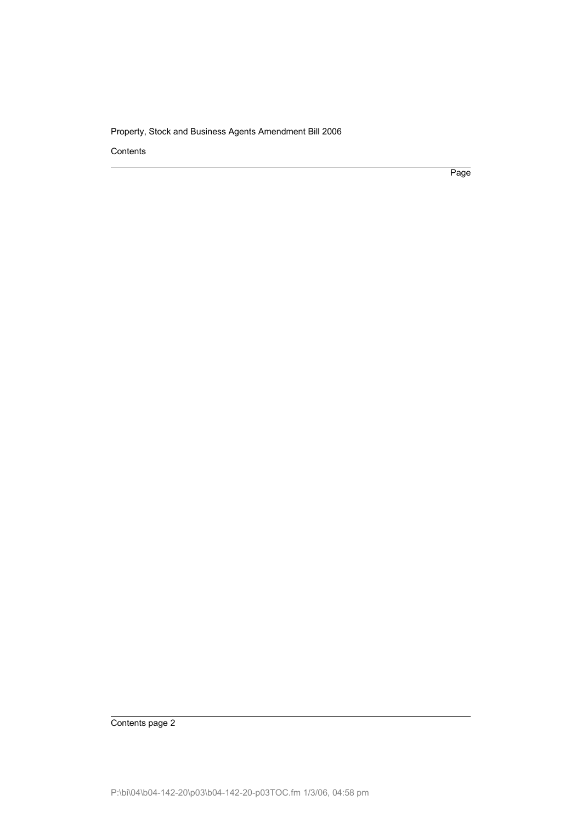Contents

Page

Contents page 2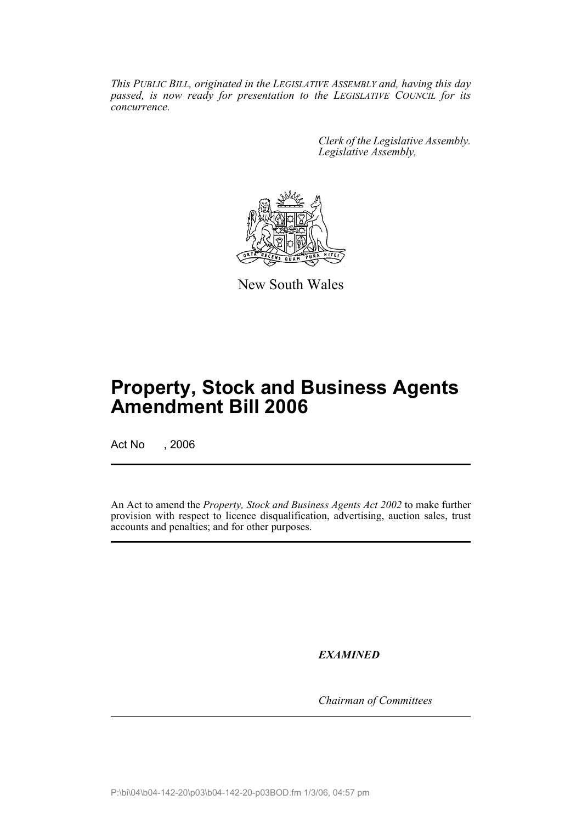*This PUBLIC BILL, originated in the LEGISLATIVE ASSEMBLY and, having this day passed, is now ready for presentation to the LEGISLATIVE COUNCIL for its concurrence.*

> *Clerk of the Legislative Assembly. Legislative Assembly,*



New South Wales

## **Property, Stock and Business Agents Amendment Bill 2006**

Act No , 2006

An Act to amend the *Property, Stock and Business Agents Act 2002* to make further provision with respect to licence disqualification, advertising, auction sales, trust accounts and penalties; and for other purposes.

*EXAMINED*

*Chairman of Committees*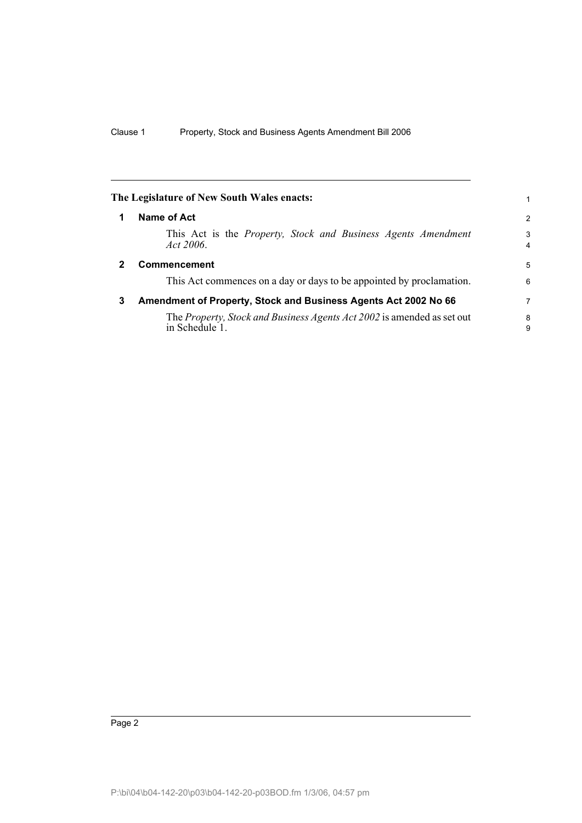<span id="page-3-2"></span><span id="page-3-1"></span><span id="page-3-0"></span>

|   | The Legislature of New South Wales enacts:                                                |                     |
|---|-------------------------------------------------------------------------------------------|---------------------|
| 1 | Name of Act                                                                               | $\overline{2}$      |
|   | This Act is the <i>Property</i> , <i>Stock and Business Agents Amendment</i><br>Act 2006. | 3<br>$\overline{4}$ |
| 2 | <b>Commencement</b>                                                                       | 5                   |
|   | This Act commences on a day or days to be appointed by proclamation.                      | 6                   |
| 3 | Amendment of Property, Stock and Business Agents Act 2002 No 66                           | 7                   |
|   | The Property, Stock and Business Agents Act 2002 is amended as set out<br>in Schedule 1.  | 8<br>9              |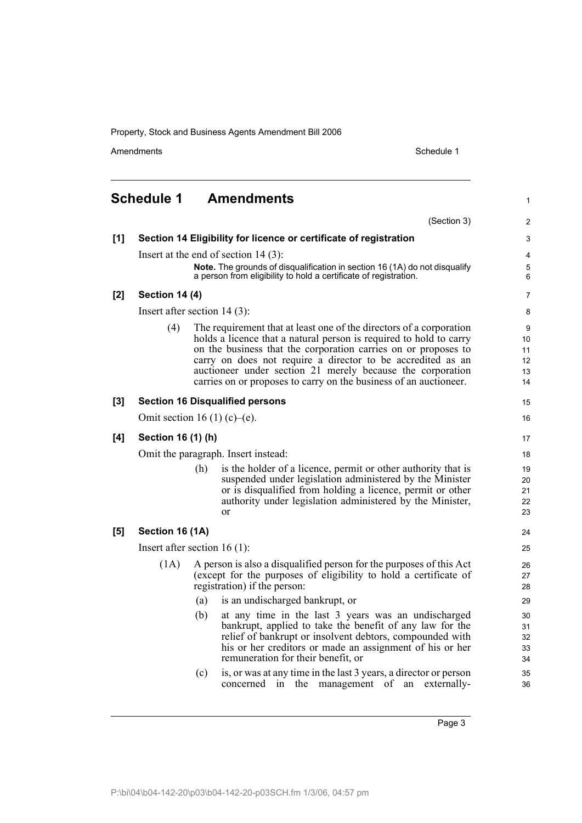Amendments **Amendments** Schedule 1

1

15 16

### <span id="page-4-0"></span>**Schedule 1 Amendments** (Section 3) **[1] Section 14 Eligibility for licence or certificate of registration** Insert at the end of section 14 (3): **Note.** The grounds of disqualification in section 16 (1A) do not disqualify a person from eligibility to hold a certificate of registration. **[2] Section 14 (4)** Insert after section 14 (3): (4) The requirement that at least one of the directors of a corporation holds a licence that a natural person is required to hold to carry on the business that the corporation carries on or proposes to carry on does not require a director to be accredited as an auctioneer under section 21 merely because the corporation carries on or proposes to carry on the business of an auctioneer. **[3] Section 16 Disqualified persons** Omit section 16 (1) (c)–(e). **[4] Section 16 (1) (h)** Omit the paragraph. Insert instead: (h) is the holder of a licence, permit or other authority that is suspended under legislation administered by the Minister or is disqualified from holding a licence, permit or other authority under legislation administered by the Minister, or **[5] Section 16 (1A)** Insert after section 16 (1): (1A) A person is also a disqualified person for the purposes of this Act (except for the purposes of eligibility to hold a certificate of registration) if the person: (a) is an undischarged bankrupt, or (b) at any time in the last 3 years was an undischarged bankrupt, applied to take the benefit of any law for the relief of bankrupt or insolvent debtors, compounded with his or her creditors or made an assignment of his or her remuneration for their benefit, or (c) is, or was at any time in the last 3 years, a director or person concerned in the management of an externally-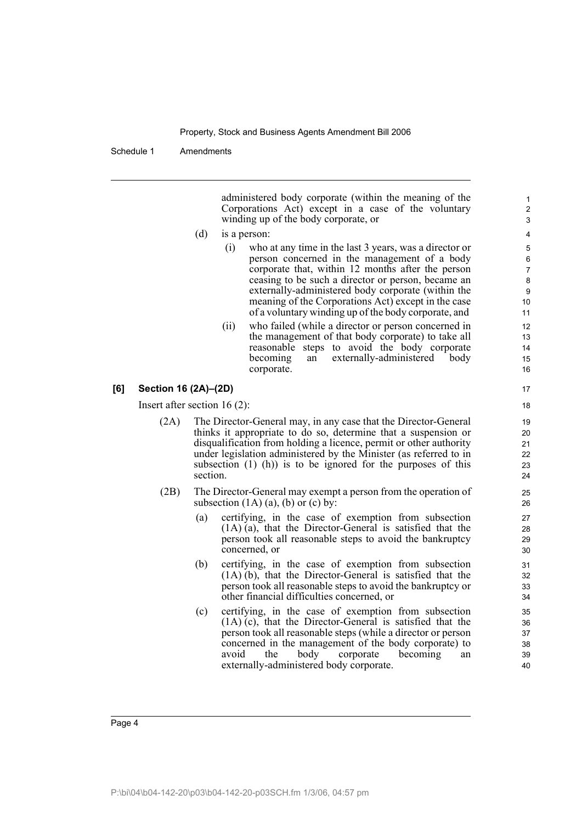Schedule 1 Amendments

administered body corporate (within the meaning of the Corporations Act) except in a case of the voluntary winding up of the body corporate, or

- (d) is a person:
	- (i) who at any time in the last 3 years, was a director or person concerned in the management of a body corporate that, within 12 months after the person ceasing to be such a director or person, became an externally-administered body corporate (within the meaning of the Corporations Act) except in the case of a voluntary winding up of the body corporate, and
	- (ii) who failed (while a director or person concerned in the management of that body corporate) to take all reasonable steps to avoid the body corporate<br>becoming an externally-administered body an externally-administered body corporate.

### **[6] Section 16 (2A)–(2D)**

Insert after section 16 (2):

- (2A) The Director-General may, in any case that the Director-General thinks it appropriate to do so, determine that a suspension or disqualification from holding a licence, permit or other authority under legislation administered by the Minister (as referred to in subsection  $(1)$   $(h)$ ) is to be ignored for the purposes of this section.
- (2B) The Director-General may exempt a person from the operation of subsection  $(1A)$   $(a)$ ,  $(b)$  or  $(c)$  by:
	- (a) certifying, in the case of exemption from subsection (1A) (a), that the Director-General is satisfied that the person took all reasonable steps to avoid the bankruptcy concerned, or
	- (b) certifying, in the case of exemption from subsection (1A) (b), that the Director-General is satisfied that the person took all reasonable steps to avoid the bankruptcy or other financial difficulties concerned, or
	- (c) certifying, in the case of exemption from subsection (1A) (c), that the Director-General is satisfied that the person took all reasonable steps (while a director or person concerned in the management of the body corporate) to avoid the body corporate becoming an externally-administered body corporate.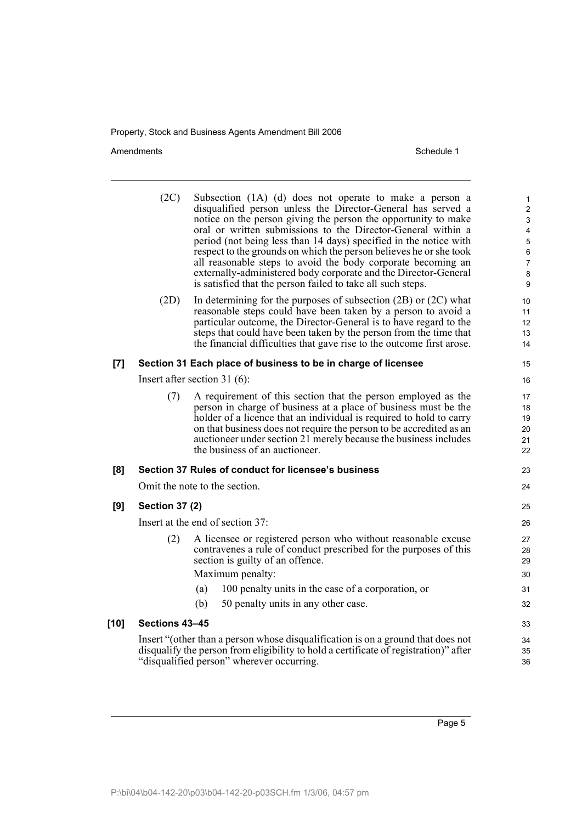Amendments Schedule 1

|       | (2C)                             |                                                      | Subsection (1A) (d) does not operate to make a person a<br>disqualified person unless the Director-General has served a<br>notice on the person giving the person the opportunity to make<br>oral or written submissions to the Director-General within a<br>period (not being less than 14 days) specified in the notice with<br>respect to the grounds on which the person believes he or she took<br>all reasonable steps to avoid the body corporate becoming an<br>externally-administered body corporate and the Director-General<br>is satisfied that the person failed to take all such steps. | $\mathbf 1$<br>$\overline{c}$<br>$\mathbf{3}$<br>$\overline{\mathbf{4}}$<br>$\mathbf 5$<br>$\,6\,$<br>$\overline{7}$<br>$\bf 8$<br>9 |  |
|-------|----------------------------------|------------------------------------------------------|--------------------------------------------------------------------------------------------------------------------------------------------------------------------------------------------------------------------------------------------------------------------------------------------------------------------------------------------------------------------------------------------------------------------------------------------------------------------------------------------------------------------------------------------------------------------------------------------------------|--------------------------------------------------------------------------------------------------------------------------------------|--|
|       | (2D)                             |                                                      | In determining for the purposes of subsection $(2B)$ or $(2C)$ what<br>reasonable steps could have been taken by a person to avoid a<br>particular outcome, the Director-General is to have regard to the<br>steps that could have been taken by the person from the time that<br>the financial difficulties that gave rise to the outcome first arose.                                                                                                                                                                                                                                                | 10<br>11<br>12 <sup>2</sup><br>13<br>14                                                                                              |  |
| $[7]$ |                                  |                                                      | Section 31 Each place of business to be in charge of licensee                                                                                                                                                                                                                                                                                                                                                                                                                                                                                                                                          | 15                                                                                                                                   |  |
|       | Insert after section 31 $(6)$ :  |                                                      |                                                                                                                                                                                                                                                                                                                                                                                                                                                                                                                                                                                                        |                                                                                                                                      |  |
|       | (7)                              | the business of an auctioneer.                       | A requirement of this section that the person employed as the<br>person in charge of business at a place of business must be the<br>holder of a licence that an individual is required to hold to carry<br>on that business does not require the person to be accredited as an<br>auctioneer under section 21 merely because the business includes                                                                                                                                                                                                                                                     | 17<br>18<br>19<br>20<br>21<br>22                                                                                                     |  |
| [8]   |                                  |                                                      | Section 37 Rules of conduct for licensee's business                                                                                                                                                                                                                                                                                                                                                                                                                                                                                                                                                    | 23                                                                                                                                   |  |
|       |                                  | Omit the note to the section.                        |                                                                                                                                                                                                                                                                                                                                                                                                                                                                                                                                                                                                        | 24                                                                                                                                   |  |
| [9]   | <b>Section 37 (2)</b>            |                                                      |                                                                                                                                                                                                                                                                                                                                                                                                                                                                                                                                                                                                        | 25                                                                                                                                   |  |
|       | Insert at the end of section 37: |                                                      |                                                                                                                                                                                                                                                                                                                                                                                                                                                                                                                                                                                                        |                                                                                                                                      |  |
|       | (2)                              | section is guilty of an offence.<br>Maximum penalty: | A licensee or registered person who without reasonable excuse<br>contravenes a rule of conduct prescribed for the purposes of this                                                                                                                                                                                                                                                                                                                                                                                                                                                                     | 27<br>28<br>29<br>30                                                                                                                 |  |
|       |                                  | (a)                                                  | 100 penalty units in the case of a corporation, or                                                                                                                                                                                                                                                                                                                                                                                                                                                                                                                                                     | 31                                                                                                                                   |  |
|       |                                  | (b)                                                  | 50 penalty units in any other case.                                                                                                                                                                                                                                                                                                                                                                                                                                                                                                                                                                    | 32                                                                                                                                   |  |
| [10]  | Sections 43-45                   |                                                      |                                                                                                                                                                                                                                                                                                                                                                                                                                                                                                                                                                                                        | 33                                                                                                                                   |  |
|       |                                  | "disqualified person" wherever occurring.            | Insert "(other than a person whose disqualification is on a ground that does not<br>disqualify the person from eligibility to hold a certificate of registration)" after                                                                                                                                                                                                                                                                                                                                                                                                                               | 34<br>35<br>36                                                                                                                       |  |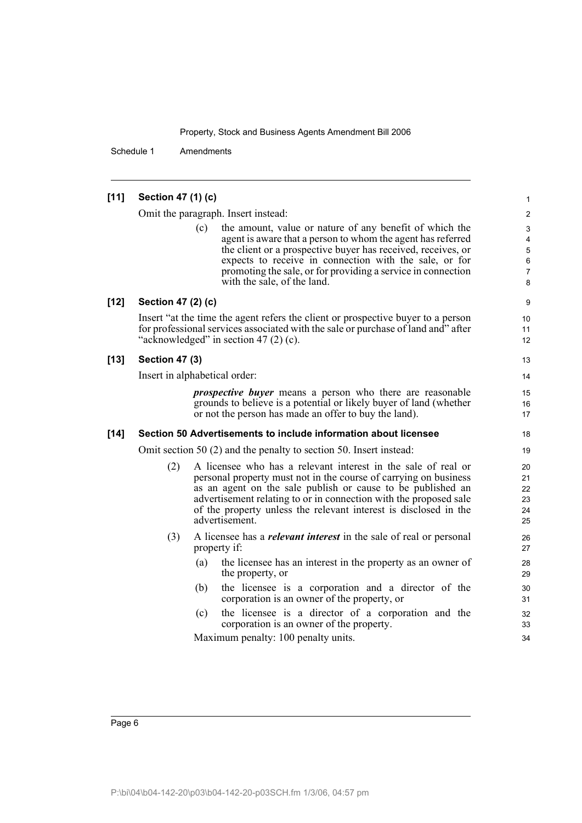Schedule 1 Amendments

| [11]   | Section 47 (1) (c)    |                                                                                                                                                                                                                                                                                                                                                             | 1                                |
|--------|-----------------------|-------------------------------------------------------------------------------------------------------------------------------------------------------------------------------------------------------------------------------------------------------------------------------------------------------------------------------------------------------------|----------------------------------|
|        |                       | Omit the paragraph. Insert instead:                                                                                                                                                                                                                                                                                                                         | $\overline{\mathbf{c}}$          |
|        |                       | the amount, value or nature of any benefit of which the<br>(c)<br>agent is aware that a person to whom the agent has referred<br>the client or a prospective buyer has received, receives, or<br>expects to receive in connection with the sale, or for<br>promoting the sale, or for providing a service in connection<br>with the sale, of the land.      | 3<br>4<br>5<br>6<br>7<br>8       |
| $[12]$ | Section 47 (2) (c)    |                                                                                                                                                                                                                                                                                                                                                             | 9                                |
|        |                       | Insert "at the time the agent refers the client or prospective buyer to a person<br>for professional services associated with the sale or purchase of land and" after<br>"acknowledged" in section 47 $(2)$ $(c)$ .                                                                                                                                         | 10<br>11<br>12                   |
| $[13]$ | <b>Section 47 (3)</b> |                                                                                                                                                                                                                                                                                                                                                             | 13                               |
|        |                       | Insert in alphabetical order:                                                                                                                                                                                                                                                                                                                               | 14                               |
|        |                       | <i>prospective buyer</i> means a person who there are reasonable<br>grounds to believe is a potential or likely buyer of land (whether<br>or not the person has made an offer to buy the land).                                                                                                                                                             | 15<br>16<br>17                   |
| $[14]$ |                       | Section 50 Advertisements to include information about licensee                                                                                                                                                                                                                                                                                             | 18                               |
|        |                       | Omit section 50 (2) and the penalty to section 50. Insert instead:                                                                                                                                                                                                                                                                                          | 19                               |
|        | (2)                   | A licensee who has a relevant interest in the sale of real or<br>personal property must not in the course of carrying on business<br>as an agent on the sale publish or cause to be published an<br>advertisement relating to or in connection with the proposed sale<br>of the property unless the relevant interest is disclosed in the<br>advertisement. | 20<br>21<br>22<br>23<br>24<br>25 |
|        | (3)                   | A licensee has a <i>relevant interest</i> in the sale of real or personal<br>property if:                                                                                                                                                                                                                                                                   | 26<br>27                         |
|        |                       | (a)<br>the licensee has an interest in the property as an owner of<br>the property, or                                                                                                                                                                                                                                                                      | 28<br>29                         |
|        |                       | (b)<br>the licensee is a corporation and a director of the<br>corporation is an owner of the property, or                                                                                                                                                                                                                                                   | 30<br>31                         |
|        |                       | the licensee is a director of a corporation and the<br>(c)<br>corporation is an owner of the property.                                                                                                                                                                                                                                                      | 32<br>33                         |
|        |                       | Maximum penalty: 100 penalty units.                                                                                                                                                                                                                                                                                                                         | 34                               |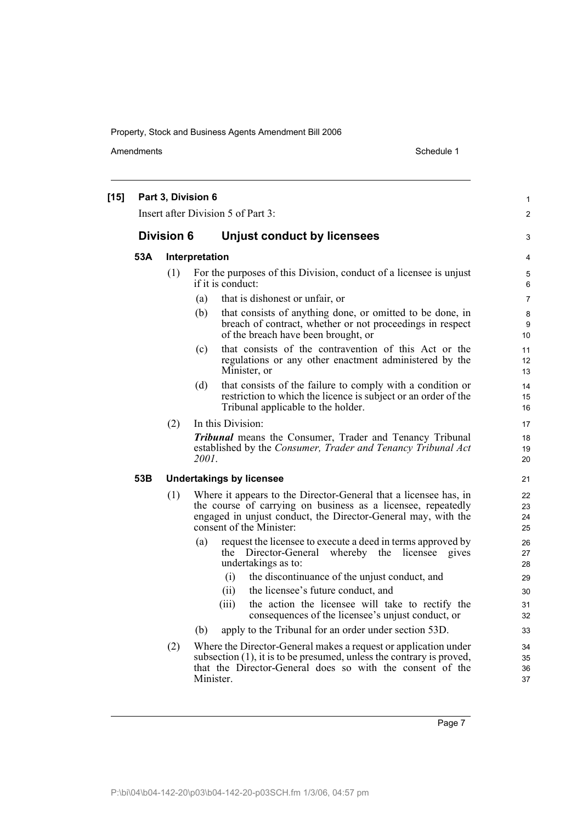Amendments Schedule 1

| $[15]$ |                   |     | Part 3, Division 6<br>Insert after Division 5 of Part 3:                                                                                                                                                                      | $\mathbf{1}$<br>$\overline{2}$ |
|--------|-------------------|-----|-------------------------------------------------------------------------------------------------------------------------------------------------------------------------------------------------------------------------------|--------------------------------|
|        | <b>Division 6</b> |     | <b>Unjust conduct by licensees</b>                                                                                                                                                                                            | 3                              |
|        | 53A               |     | Interpretation                                                                                                                                                                                                                | 4                              |
|        |                   | (1) | For the purposes of this Division, conduct of a licensee is unjust<br>if it is conduct:                                                                                                                                       | 5<br>6                         |
|        |                   |     | that is dishonest or unfair, or<br>(a)                                                                                                                                                                                        | $\overline{7}$                 |
|        |                   |     | that consists of anything done, or omitted to be done, in<br>(b)<br>breach of contract, whether or not proceedings in respect<br>of the breach have been brought, or                                                          | 8<br>9<br>10                   |
|        |                   |     | that consists of the contravention of this Act or the<br>(c)<br>regulations or any other enactment administered by the<br>Minister, or                                                                                        | 11<br>12<br>13                 |
|        |                   |     | that consists of the failure to comply with a condition or<br>(d)<br>restriction to which the licence is subject or an order of the<br>Tribunal applicable to the holder.                                                     | 14<br>15<br>16                 |
|        |                   | (2) | In this Division:                                                                                                                                                                                                             | 17                             |
|        |                   |     | <b>Tribunal</b> means the Consumer, Trader and Tenancy Tribunal<br>established by the Consumer, Trader and Tenancy Tribunal Act<br>2001.                                                                                      | 18<br>19<br>20                 |
|        | 53B               |     | <b>Undertakings by licensee</b>                                                                                                                                                                                               | 21                             |
|        |                   | (1) | Where it appears to the Director-General that a licensee has, in<br>the course of carrying on business as a licensee, repeatedly<br>engaged in unjust conduct, the Director-General may, with the<br>consent of the Minister: | 22<br>23<br>24<br>25           |
|        |                   |     | (a)<br>request the licensee to execute a deed in terms approved by<br>the Director-General whereby the licensee<br>gives<br>undertakings as to:                                                                               | 26<br>27<br>28                 |
|        |                   |     | the discontinuance of the unjust conduct, and<br>(i)                                                                                                                                                                          | 29                             |
|        |                   |     | (ii)<br>the licensee's future conduct, and                                                                                                                                                                                    | 30                             |
|        |                   |     | (iii)<br>the action the licensee will take to rectify the<br>consequences of the licensee's unjust conduct, or                                                                                                                | 31<br>32                       |
|        |                   |     | apply to the Tribunal for an order under section 53D.<br>(b)                                                                                                                                                                  | 33                             |
|        |                   | (2) | Where the Director-General makes a request or application under<br>subsection $(1)$ , it is to be presumed, unless the contrary is proved,<br>that the Director-General does so with the consent of the<br>Minister.          | 34<br>35<br>36<br>37           |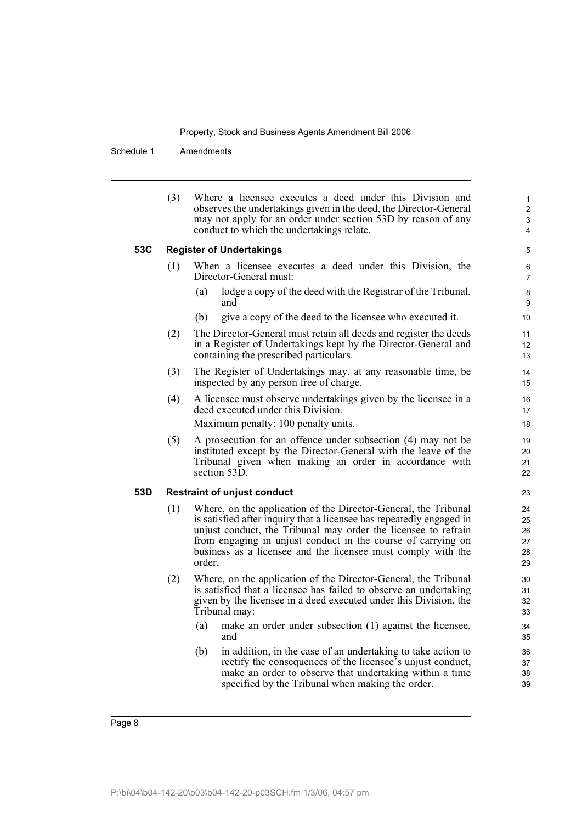Schedule 1 Amendments

| (3)<br>Where a licensee executes a deed under this Division and<br>observes the undertakings given in the deed, the Director-General<br>may not apply for an order under section 53D by reason of any<br>conduct to which the undertakings relate.<br><b>Register of Undertakings</b><br>53C<br>(1)<br>When a licensee executes a deed under this Division, the<br>Director-General must:<br>lodge a copy of the deed with the Registrar of the Tribunal,<br>(a)<br>and<br>give a copy of the deed to the licensee who executed it.<br>(b)<br>The Director-General must retain all deeds and register the deeds<br>(2)<br>in a Register of Undertakings kept by the Director-General and<br>containing the prescribed particulars.<br>(3)<br>The Register of Undertakings may, at any reasonable time, be<br>inspected by any person free of charge.<br>(4)<br>A licensee must observe undertakings given by the licensee in a<br>deed executed under this Division.<br>Maximum penalty: 100 penalty units.<br>(5)<br>A prosecution for an offence under subsection (4) may not be<br>instituted except by the Director-General with the leave of the<br>Tribunal given when making an order in accordance with<br>section 53D.<br>53D<br><b>Restraint of unjust conduct</b><br>Where, on the application of the Director-General, the Tribunal<br>(1)<br>is satisfied after inquiry that a licensee has repeatedly engaged in<br>unjust conduct, the Tribunal may order the licensee to refrain<br>from engaging in unjust conduct in the course of carrying on<br>business as a licensee and the licensee must comply with the<br>order.<br>Where, on the application of the Director-General, the Tribunal<br>(2)<br>is satisfied that a licensee has failed to observe an undertaking<br>given by the licensee in a deed executed under this Division, the<br>Tribunal may:<br>make an order under subsection (1) against the licensee,<br>(a)<br>and |                                            |
|-----------------------------------------------------------------------------------------------------------------------------------------------------------------------------------------------------------------------------------------------------------------------------------------------------------------------------------------------------------------------------------------------------------------------------------------------------------------------------------------------------------------------------------------------------------------------------------------------------------------------------------------------------------------------------------------------------------------------------------------------------------------------------------------------------------------------------------------------------------------------------------------------------------------------------------------------------------------------------------------------------------------------------------------------------------------------------------------------------------------------------------------------------------------------------------------------------------------------------------------------------------------------------------------------------------------------------------------------------------------------------------------------------------------------------------------------------------------------------------------------------------------------------------------------------------------------------------------------------------------------------------------------------------------------------------------------------------------------------------------------------------------------------------------------------------------------------------------------------------------------------------------------------------------------------------------------------------|--------------------------------------------|
|                                                                                                                                                                                                                                                                                                                                                                                                                                                                                                                                                                                                                                                                                                                                                                                                                                                                                                                                                                                                                                                                                                                                                                                                                                                                                                                                                                                                                                                                                                                                                                                                                                                                                                                                                                                                                                                                                                                                                           | 1<br>$\overline{c}$<br>3<br>$\overline{4}$ |
|                                                                                                                                                                                                                                                                                                                                                                                                                                                                                                                                                                                                                                                                                                                                                                                                                                                                                                                                                                                                                                                                                                                                                                                                                                                                                                                                                                                                                                                                                                                                                                                                                                                                                                                                                                                                                                                                                                                                                           | 5                                          |
|                                                                                                                                                                                                                                                                                                                                                                                                                                                                                                                                                                                                                                                                                                                                                                                                                                                                                                                                                                                                                                                                                                                                                                                                                                                                                                                                                                                                                                                                                                                                                                                                                                                                                                                                                                                                                                                                                                                                                           | 6<br>7                                     |
|                                                                                                                                                                                                                                                                                                                                                                                                                                                                                                                                                                                                                                                                                                                                                                                                                                                                                                                                                                                                                                                                                                                                                                                                                                                                                                                                                                                                                                                                                                                                                                                                                                                                                                                                                                                                                                                                                                                                                           | 8<br>9                                     |
|                                                                                                                                                                                                                                                                                                                                                                                                                                                                                                                                                                                                                                                                                                                                                                                                                                                                                                                                                                                                                                                                                                                                                                                                                                                                                                                                                                                                                                                                                                                                                                                                                                                                                                                                                                                                                                                                                                                                                           | 10                                         |
|                                                                                                                                                                                                                                                                                                                                                                                                                                                                                                                                                                                                                                                                                                                                                                                                                                                                                                                                                                                                                                                                                                                                                                                                                                                                                                                                                                                                                                                                                                                                                                                                                                                                                                                                                                                                                                                                                                                                                           | 11<br>12<br>13                             |
|                                                                                                                                                                                                                                                                                                                                                                                                                                                                                                                                                                                                                                                                                                                                                                                                                                                                                                                                                                                                                                                                                                                                                                                                                                                                                                                                                                                                                                                                                                                                                                                                                                                                                                                                                                                                                                                                                                                                                           | 14<br>15                                   |
|                                                                                                                                                                                                                                                                                                                                                                                                                                                                                                                                                                                                                                                                                                                                                                                                                                                                                                                                                                                                                                                                                                                                                                                                                                                                                                                                                                                                                                                                                                                                                                                                                                                                                                                                                                                                                                                                                                                                                           | 16<br>17                                   |
|                                                                                                                                                                                                                                                                                                                                                                                                                                                                                                                                                                                                                                                                                                                                                                                                                                                                                                                                                                                                                                                                                                                                                                                                                                                                                                                                                                                                                                                                                                                                                                                                                                                                                                                                                                                                                                                                                                                                                           | 18                                         |
|                                                                                                                                                                                                                                                                                                                                                                                                                                                                                                                                                                                                                                                                                                                                                                                                                                                                                                                                                                                                                                                                                                                                                                                                                                                                                                                                                                                                                                                                                                                                                                                                                                                                                                                                                                                                                                                                                                                                                           | 19<br>20<br>21<br>22                       |
|                                                                                                                                                                                                                                                                                                                                                                                                                                                                                                                                                                                                                                                                                                                                                                                                                                                                                                                                                                                                                                                                                                                                                                                                                                                                                                                                                                                                                                                                                                                                                                                                                                                                                                                                                                                                                                                                                                                                                           | 23                                         |
|                                                                                                                                                                                                                                                                                                                                                                                                                                                                                                                                                                                                                                                                                                                                                                                                                                                                                                                                                                                                                                                                                                                                                                                                                                                                                                                                                                                                                                                                                                                                                                                                                                                                                                                                                                                                                                                                                                                                                           | 24<br>25<br>26<br>27<br>28<br>29           |
|                                                                                                                                                                                                                                                                                                                                                                                                                                                                                                                                                                                                                                                                                                                                                                                                                                                                                                                                                                                                                                                                                                                                                                                                                                                                                                                                                                                                                                                                                                                                                                                                                                                                                                                                                                                                                                                                                                                                                           | 30<br>31<br>32<br>33                       |
|                                                                                                                                                                                                                                                                                                                                                                                                                                                                                                                                                                                                                                                                                                                                                                                                                                                                                                                                                                                                                                                                                                                                                                                                                                                                                                                                                                                                                                                                                                                                                                                                                                                                                                                                                                                                                                                                                                                                                           | 34<br>35                                   |
| in addition, in the case of an undertaking to take action to<br>(b)<br>rectify the consequences of the licensee's unjust conduct,<br>make an order to observe that undertaking within a time<br>specified by the Tribunal when making the order.                                                                                                                                                                                                                                                                                                                                                                                                                                                                                                                                                                                                                                                                                                                                                                                                                                                                                                                                                                                                                                                                                                                                                                                                                                                                                                                                                                                                                                                                                                                                                                                                                                                                                                          | 36<br>37<br>38<br>39                       |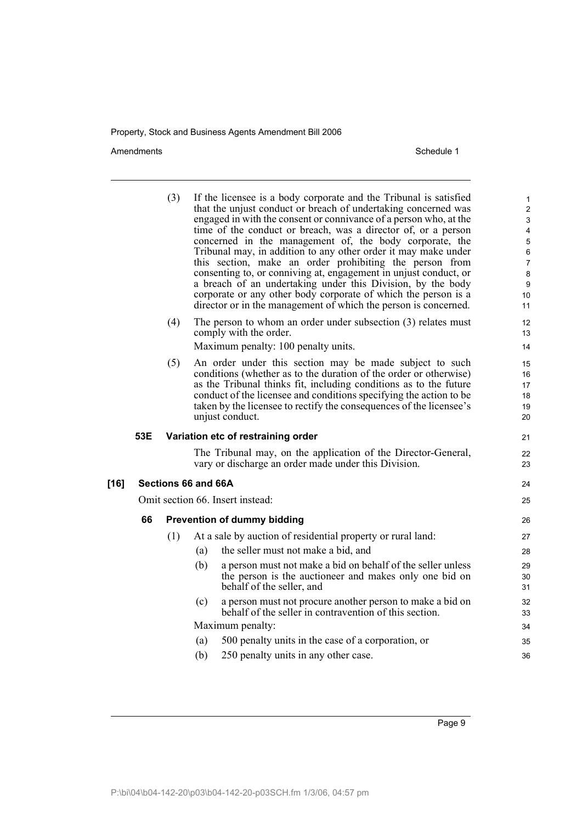Amendments Schedule 1

|        |     | (3) | If the licensee is a body corporate and the Tribunal is satisfied<br>that the unjust conduct or breach of undertaking concerned was<br>engaged in with the consent or connivance of a person who, at the<br>time of the conduct or breach, was a director of, or a person<br>concerned in the management of, the body corporate, the<br>Tribunal may, in addition to any other order it may make under<br>this section, make an order prohibiting the person from<br>consenting to, or conniving at, engagement in unjust conduct, or<br>a breach of an undertaking under this Division, by the body<br>corporate or any other body corporate of which the person is a<br>director or in the management of which the person is concerned. | 1<br>$\overline{c}$<br>3<br>4<br>5<br>6<br>7<br>8<br>9<br>10<br>11 |
|--------|-----|-----|-------------------------------------------------------------------------------------------------------------------------------------------------------------------------------------------------------------------------------------------------------------------------------------------------------------------------------------------------------------------------------------------------------------------------------------------------------------------------------------------------------------------------------------------------------------------------------------------------------------------------------------------------------------------------------------------------------------------------------------------|--------------------------------------------------------------------|
|        |     | (4) | The person to whom an order under subsection $(3)$ relates must<br>comply with the order.<br>Maximum penalty: 100 penalty units.                                                                                                                                                                                                                                                                                                                                                                                                                                                                                                                                                                                                          | 12<br>13<br>14                                                     |
|        |     | (5) | An order under this section may be made subject to such<br>conditions (whether as to the duration of the order or otherwise)<br>as the Tribunal thinks fit, including conditions as to the future<br>conduct of the licensee and conditions specifying the action to be<br>taken by the licensee to rectify the consequences of the licensee's<br>unjust conduct.                                                                                                                                                                                                                                                                                                                                                                         | 15<br>16<br>17<br>18<br>19<br>20                                   |
|        | 53E |     | Variation etc of restraining order                                                                                                                                                                                                                                                                                                                                                                                                                                                                                                                                                                                                                                                                                                        | 21                                                                 |
|        |     |     | The Tribunal may, on the application of the Director-General,<br>vary or discharge an order made under this Division.                                                                                                                                                                                                                                                                                                                                                                                                                                                                                                                                                                                                                     | 22<br>23                                                           |
| $[16]$ |     |     | Sections 66 and 66A                                                                                                                                                                                                                                                                                                                                                                                                                                                                                                                                                                                                                                                                                                                       | 24                                                                 |
|        |     |     | Omit section 66. Insert instead:                                                                                                                                                                                                                                                                                                                                                                                                                                                                                                                                                                                                                                                                                                          | 25                                                                 |
|        | 66  |     | <b>Prevention of dummy bidding</b>                                                                                                                                                                                                                                                                                                                                                                                                                                                                                                                                                                                                                                                                                                        | 26                                                                 |
|        |     | (1) | At a sale by auction of residential property or rural land:                                                                                                                                                                                                                                                                                                                                                                                                                                                                                                                                                                                                                                                                               | 27                                                                 |
|        |     |     | the seller must not make a bid, and<br>(a)                                                                                                                                                                                                                                                                                                                                                                                                                                                                                                                                                                                                                                                                                                | 28                                                                 |
|        |     |     | (b)<br>a person must not make a bid on behalf of the seller unless<br>the person is the auctioneer and makes only one bid on<br>behalf of the seller, and                                                                                                                                                                                                                                                                                                                                                                                                                                                                                                                                                                                 | 29<br>30<br>31                                                     |
|        |     |     | a person must not procure another person to make a bid on<br>(c)<br>behalf of the seller in contravention of this section.                                                                                                                                                                                                                                                                                                                                                                                                                                                                                                                                                                                                                | 32<br>33                                                           |
|        |     |     | Maximum penalty:                                                                                                                                                                                                                                                                                                                                                                                                                                                                                                                                                                                                                                                                                                                          | 34                                                                 |
|        |     |     | 500 penalty units in the case of a corporation, or<br>(a)                                                                                                                                                                                                                                                                                                                                                                                                                                                                                                                                                                                                                                                                                 | 35                                                                 |
|        |     |     | (b)<br>250 penalty units in any other case.                                                                                                                                                                                                                                                                                                                                                                                                                                                                                                                                                                                                                                                                                               | 36                                                                 |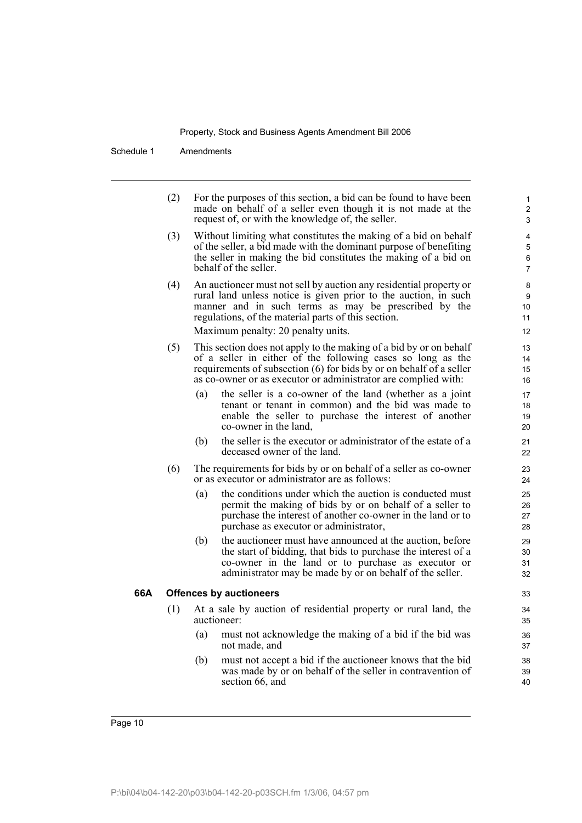Schedule 1 Amendments

| (2) | For the purposes of this section, a bid can be found to have been<br>made on behalf of a seller even though it is not made at the<br>request of, or with the knowledge of, the seller.                                                                                                     | 1<br>2<br>3              |
|-----|--------------------------------------------------------------------------------------------------------------------------------------------------------------------------------------------------------------------------------------------------------------------------------------------|--------------------------|
| (3) | Without limiting what constitutes the making of a bid on behalf<br>of the seller, a bid made with the dominant purpose of benefiting<br>the seller in making the bid constitutes the making of a bid on<br>behalf of the seller.                                                           | 4<br>5<br>6<br>7         |
| (4) | An auctioneer must not sell by auction any residential property or<br>rural land unless notice is given prior to the auction, in such<br>manner and in such terms as may be prescribed by the<br>regulations, of the material parts of this section.<br>Maximum penalty: 20 penalty units. | 8<br>9<br>10<br>11<br>12 |
| (5) | This section does not apply to the making of a bid by or on behalf<br>of a seller in either of the following cases so long as the<br>requirements of subsection (6) for bids by or on behalf of a seller<br>as co-owner or as executor or administrator are complied with:                 | 13<br>14<br>15<br>16     |
|     | the seller is a co-owner of the land (whether as a joint<br>(a)<br>tenant or tenant in common) and the bid was made to<br>enable the seller to purchase the interest of another<br>co-owner in the land,                                                                                   | 17<br>18<br>19<br>20     |
|     | the seller is the executor or administrator of the estate of a<br>(b)<br>deceased owner of the land.                                                                                                                                                                                       | 21<br>22                 |
| (6) | The requirements for bids by or on behalf of a seller as co-owner<br>or as executor or administrator are as follows:                                                                                                                                                                       | 23<br>24                 |
|     | the conditions under which the auction is conducted must<br>(a)<br>permit the making of bids by or on behalf of a seller to<br>purchase the interest of another co-owner in the land or to<br>purchase as executor or administrator,                                                       | 25<br>26<br>27<br>28     |
|     | (b)<br>the auctioneer must have announced at the auction, before<br>the start of bidding, that bids to purchase the interest of a<br>co-owner in the land or to purchase as executor or<br>administrator may be made by or on behalf of the seller.                                        | 29<br>30<br>31<br>32     |
|     | <b>Offences by auctioneers</b>                                                                                                                                                                                                                                                             | 33                       |
| (1) | At a sale by auction of residential property or rural land, the<br>auctioneer:                                                                                                                                                                                                             | 34<br>35                 |
|     | must not acknowledge the making of a bid if the bid was<br>(a)<br>not made, and                                                                                                                                                                                                            | 36<br>37                 |
|     | must not accept a bid if the auctioneer knows that the bid<br>(b)<br>was made by or on behalf of the seller in contravention of                                                                                                                                                            | 38<br>39                 |

40

66A

section 66, and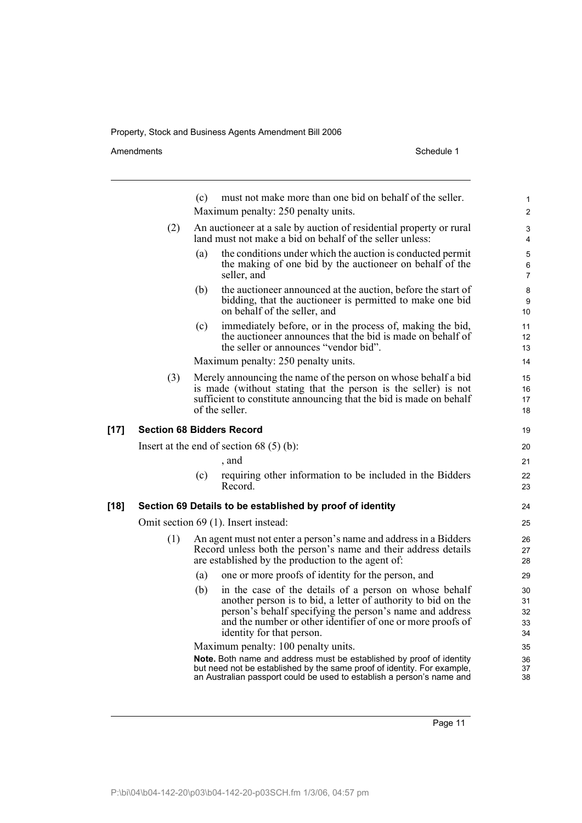Amendments **Amendments** Schedule 1

(c) must not make more than one bid on behalf of the seller. Maximum penalty: 250 penalty units. (2) An auctioneer at a sale by auction of residential property or rural land must not make a bid on behalf of the seller unless: (a) the conditions under which the auction is conducted permit the making of one bid by the auctioneer on behalf of the seller, and (b) the auctioneer announced at the auction, before the start of bidding, that the auctioneer is permitted to make one bid on behalf of the seller, and (c) immediately before, or in the process of, making the bid, the auctioneer announces that the bid is made on behalf of the seller or announces "vendor bid". Maximum penalty: 250 penalty units. (3) Merely announcing the name of the person on whose behalf a bid is made (without stating that the person is the seller) is not sufficient to constitute announcing that the bid is made on behalf of the seller. **[17] Section 68 Bidders Record** Insert at the end of section 68 (5) (b): , and (c) requiring other information to be included in the Bidders Record. **[18] Section 69 Details to be established by proof of identity** Omit section 69 (1). Insert instead: (1) An agent must not enter a person's name and address in a Bidders Record unless both the person's name and their address details are established by the production to the agent of: (a) one or more proofs of identity for the person, and (b) in the case of the details of a person on whose behalf another person is to bid, a letter of authority to bid on the person's behalf specifying the person's name and address and the number or other identifier of one or more proofs of identity for that person. Maximum penalty: 100 penalty units. **Note.** Both name and address must be established by proof of identity but need not be established by the same proof of identity. For example, an Australian passport could be used to establish a person's name and 1  $\overline{2}$ 3 4 5 6 7 8 9 10 11 12 13 14 15 16 17 18 19  $20$ 21 22 23 24 25 26 27 28 29 30 31 32 33 34 35 36 37 38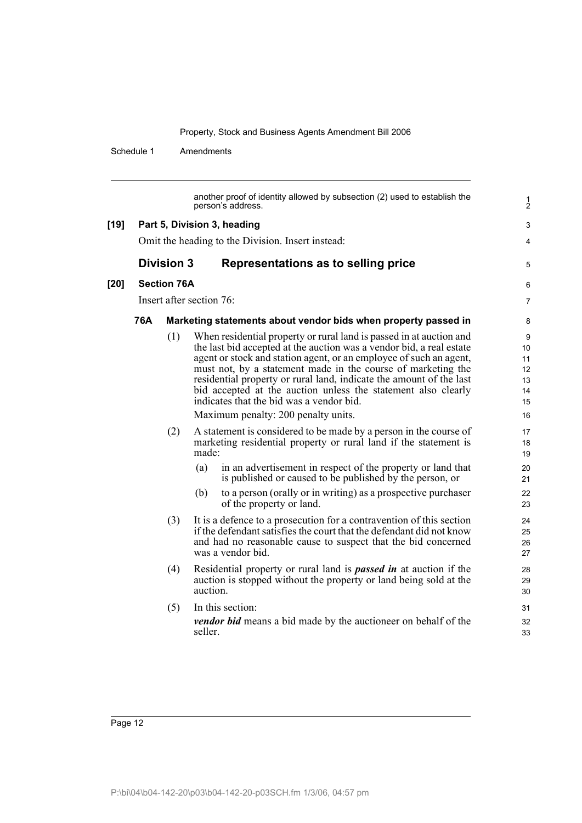Schedule 1 Amendments

another proof of identity allowed by subsection (2) used to establish the person's address. **[19] Part 5, Division 3, heading** Omit the heading to the Division. Insert instead: **Division 3 Representations as to selling price [20] Section 76A** Insert after section 76: **76A Marketing statements about vendor bids when property passed in** (1) When residential property or rural land is passed in at auction and the last bid accepted at the auction was a vendor bid, a real estate agent or stock and station agent, or an employee of such an agent, must not, by a statement made in the course of marketing the residential property or rural land, indicate the amount of the last bid accepted at the auction unless the statement also clearly indicates that the bid was a vendor bid. Maximum penalty: 200 penalty units. (2) A statement is considered to be made by a person in the course of marketing residential property or rural land if the statement is made: (a) in an advertisement in respect of the property or land that is published or caused to be published by the person, or (b) to a person (orally or in writing) as a prospective purchaser of the property or land. (3) It is a defence to a prosecution for a contravention of this section if the defendant satisfies the court that the defendant did not know and had no reasonable cause to suspect that the bid concerned was a vendor bid. (4) Residential property or rural land is *passed in* at auction if the auction is stopped without the property or land being sold at the auction. (5) In this section: *vendor bid* means a bid made by the auctioneer on behalf of the seller. 1 2 3 4 5 6 7 8 9 10 11 12 13 14 15 16 17 18 19  $20$ 21 22 23 24 25 26 27 28 29 30 31 32 33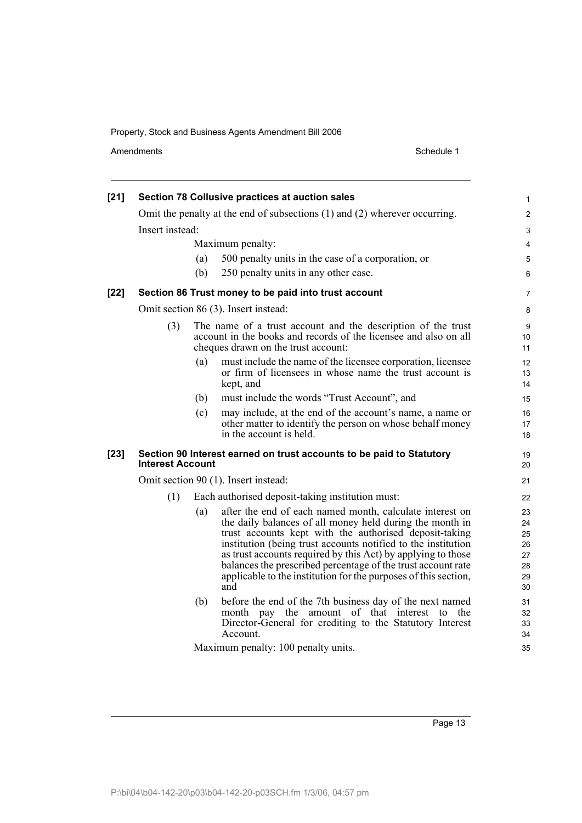Amendments Schedule 1

| $[21]$ |                         |     | Section 78 Collusive practices at auction sales                                                                                                                                                                                                                                                                                                                                                                                                           | $\mathbf{1}$                                 |
|--------|-------------------------|-----|-----------------------------------------------------------------------------------------------------------------------------------------------------------------------------------------------------------------------------------------------------------------------------------------------------------------------------------------------------------------------------------------------------------------------------------------------------------|----------------------------------------------|
|        |                         |     | Omit the penalty at the end of subsections (1) and (2) wherever occurring.                                                                                                                                                                                                                                                                                                                                                                                | $\overline{2}$                               |
|        | Insert instead:         |     |                                                                                                                                                                                                                                                                                                                                                                                                                                                           | $\ensuremath{\mathsf{3}}$                    |
|        |                         |     | Maximum penalty:                                                                                                                                                                                                                                                                                                                                                                                                                                          | $\overline{4}$                               |
|        |                         | (a) | 500 penalty units in the case of a corporation, or                                                                                                                                                                                                                                                                                                                                                                                                        | $\sqrt{5}$                                   |
|        |                         | (b) | 250 penalty units in any other case.                                                                                                                                                                                                                                                                                                                                                                                                                      | $\,6\,$                                      |
| [22]   |                         |     | Section 86 Trust money to be paid into trust account                                                                                                                                                                                                                                                                                                                                                                                                      | 7                                            |
|        |                         |     | Omit section 86 (3). Insert instead:                                                                                                                                                                                                                                                                                                                                                                                                                      | 8                                            |
|        | (3)                     |     | The name of a trust account and the description of the trust<br>account in the books and records of the licensee and also on all<br>cheques drawn on the trust account:                                                                                                                                                                                                                                                                                   | 9<br>10<br>11                                |
|        |                         | (a) | must include the name of the licensee corporation, licensee<br>or firm of licensees in whose name the trust account is<br>kept, and                                                                                                                                                                                                                                                                                                                       | 12<br>13<br>14                               |
|        |                         | (b) | must include the words "Trust Account", and                                                                                                                                                                                                                                                                                                                                                                                                               | 15                                           |
|        |                         | (c) | may include, at the end of the account's name, a name or<br>other matter to identify the person on whose behalf money<br>in the account is held.                                                                                                                                                                                                                                                                                                          | 16<br>17<br>18                               |
| $[23]$ | <b>Interest Account</b> |     | Section 90 Interest earned on trust accounts to be paid to Statutory                                                                                                                                                                                                                                                                                                                                                                                      | 19<br>20                                     |
|        |                         |     | Omit section 90 (1). Insert instead:                                                                                                                                                                                                                                                                                                                                                                                                                      | 21                                           |
|        | (1)                     |     | Each authorised deposit-taking institution must:                                                                                                                                                                                                                                                                                                                                                                                                          | 22                                           |
|        |                         | (a) | after the end of each named month, calculate interest on<br>the daily balances of all money held during the month in<br>trust accounts kept with the authorised deposit-taking<br>institution (being trust accounts notified to the institution<br>as trust accounts required by this Act) by applying to those<br>balances the prescribed percentage of the trust account rate<br>applicable to the institution for the purposes of this section,<br>and | 23<br>24<br>25<br>26<br>27<br>28<br>29<br>30 |
|        |                         | (b) | before the end of the 7th business day of the next named<br>pay the amount of that interest to<br>the<br>month<br>Director-General for crediting to the Statutory Interest<br>Account.                                                                                                                                                                                                                                                                    | 31<br>32<br>33<br>34                         |
|        |                         |     | Maximum penalty: 100 penalty units.                                                                                                                                                                                                                                                                                                                                                                                                                       | 35                                           |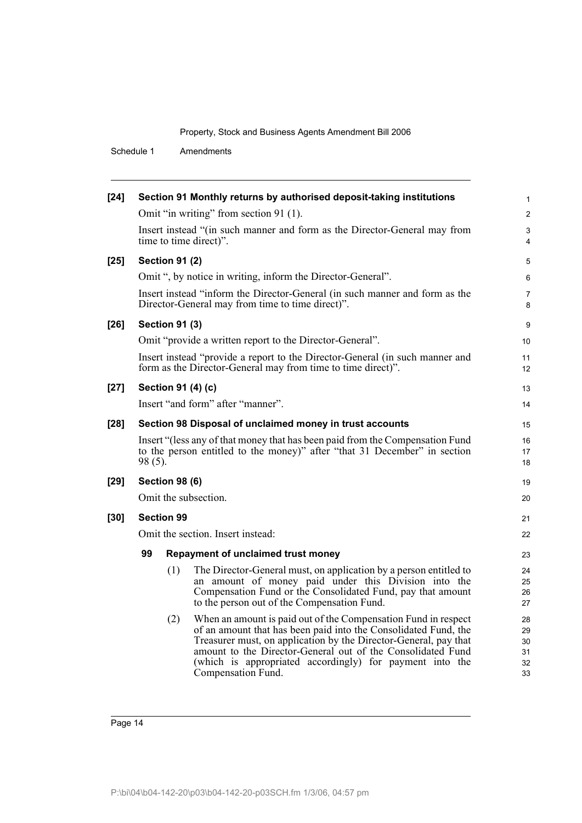Schedule 1 Amendments

| $[24]$ |         |                       | Section 91 Monthly returns by authorised deposit-taking institutions                                                                                                                                                                                                                                                                                   | $\mathbf{1}$                     |
|--------|---------|-----------------------|--------------------------------------------------------------------------------------------------------------------------------------------------------------------------------------------------------------------------------------------------------------------------------------------------------------------------------------------------------|----------------------------------|
|        |         |                       | Omit "in writing" from section 91 (1).                                                                                                                                                                                                                                                                                                                 | 2                                |
|        |         |                       | Insert instead "(in such manner and form as the Director-General may from<br>time to time direct)".                                                                                                                                                                                                                                                    | 3<br>$\overline{4}$              |
| $[25]$ |         | <b>Section 91 (2)</b> |                                                                                                                                                                                                                                                                                                                                                        | 5                                |
|        |         |                       | Omit ", by notice in writing, inform the Director-General".                                                                                                                                                                                                                                                                                            | 6                                |
|        |         |                       | Insert instead "inform the Director-General (in such manner and form as the<br>Director-General may from time to time direct)".                                                                                                                                                                                                                        | $\overline{7}$<br>8              |
| $[26]$ |         | <b>Section 91 (3)</b> |                                                                                                                                                                                                                                                                                                                                                        | 9                                |
|        |         |                       | Omit "provide a written report to the Director-General".                                                                                                                                                                                                                                                                                               | 10                               |
|        |         |                       | Insert instead "provide a report to the Director-General (in such manner and<br>form as the Director-General may from time to time direct)".                                                                                                                                                                                                           | 11<br>12                         |
| $[27]$ |         |                       | Section 91 (4) (c)                                                                                                                                                                                                                                                                                                                                     | 13                               |
|        |         |                       | Insert "and form" after "manner".                                                                                                                                                                                                                                                                                                                      | 14                               |
| $[28]$ |         |                       | Section 98 Disposal of unclaimed money in trust accounts                                                                                                                                                                                                                                                                                               | 15                               |
|        | 98 (5). |                       | Insert "(less any of that money that has been paid from the Compensation Fund<br>to the person entitled to the money)" after "that 31 December" in section                                                                                                                                                                                             | 16<br>17<br>18                   |
| $[29]$ |         | <b>Section 98 (6)</b> |                                                                                                                                                                                                                                                                                                                                                        | 19                               |
|        |         |                       | Omit the subsection.                                                                                                                                                                                                                                                                                                                                   | 20                               |
| $[30]$ |         | <b>Section 99</b>     |                                                                                                                                                                                                                                                                                                                                                        | 21                               |
|        |         |                       | Omit the section. Insert instead:                                                                                                                                                                                                                                                                                                                      | 22                               |
|        | 99      |                       | Repayment of unclaimed trust money                                                                                                                                                                                                                                                                                                                     | 23                               |
|        |         | (1)                   | The Director-General must, on application by a person entitled to<br>an amount of money paid under this Division into the<br>Compensation Fund or the Consolidated Fund, pay that amount<br>to the person out of the Compensation Fund.                                                                                                                | 24<br>25<br>26<br>27             |
|        |         | (2)                   | When an amount is paid out of the Compensation Fund in respect<br>of an amount that has been paid into the Consolidated Fund, the<br>Treasurer must, on application by the Director-General, pay that<br>amount to the Director-General out of the Consolidated Fund<br>(which is appropriated accordingly) for payment into the<br>Compensation Fund. | 28<br>29<br>30<br>31<br>32<br>33 |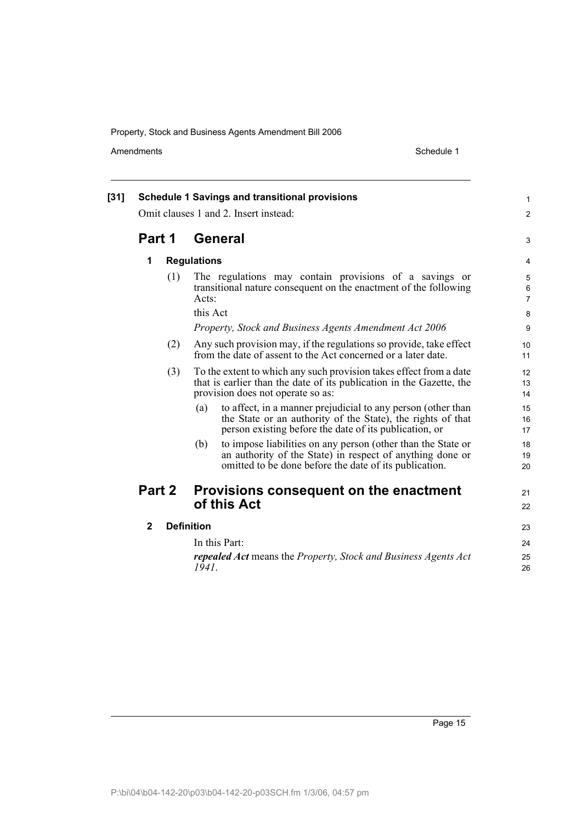Amendments Schedule 1

| $[31]$ |                                   |     | <b>Schedule 1 Savings and transitional provisions</b>                                                                                                                                        | 1                              |
|--------|-----------------------------------|-----|----------------------------------------------------------------------------------------------------------------------------------------------------------------------------------------------|--------------------------------|
|        |                                   |     | Omit clauses 1 and 2. Insert instead:                                                                                                                                                        | 2                              |
|        | Part 1                            |     | General                                                                                                                                                                                      | 3                              |
|        | 1                                 |     | <b>Regulations</b>                                                                                                                                                                           | 4                              |
|        |                                   | (1) | The regulations may contain provisions of a savings or<br>transitional nature consequent on the enactment of the following<br>Acts:                                                          | 5<br>$\,6\,$<br>$\overline{7}$ |
|        |                                   |     | this Act                                                                                                                                                                                     | 8                              |
|        |                                   |     | Property, Stock and Business Agents Amendment Act 2006                                                                                                                                       | 9                              |
|        |                                   | (2) | Any such provision may, if the regulations so provide, take effect<br>from the date of assent to the Act concerned or a later date.                                                          | 10<br>11                       |
|        |                                   | (3) | To the extent to which any such provision takes effect from a date<br>that is earlier than the date of its publication in the Gazette, the<br>provision does not operate so as:              | 12<br>13<br>14                 |
|        |                                   |     | to affect, in a manner prejudicial to any person (other than<br>(a)<br>the State or an authority of the State), the rights of that<br>person existing before the date of its publication, or | 15<br>16<br>17                 |
|        |                                   |     | to impose liabilities on any person (other than the State or<br>(b)<br>an authority of the State) in respect of anything done or<br>omitted to be done before the date of its publication.   | 18<br>19<br>20                 |
|        | Part 2                            |     | Provisions consequent on the enactment<br>of this Act                                                                                                                                        | 21<br>22                       |
|        | $\mathbf{2}$<br><b>Definition</b> |     |                                                                                                                                                                                              | 23                             |
|        |                                   |     | In this Part:                                                                                                                                                                                | 24                             |
|        |                                   |     | <b>repealed Act</b> means the Property, Stock and Business Agents Act<br>1941.                                                                                                               | 25<br>26                       |